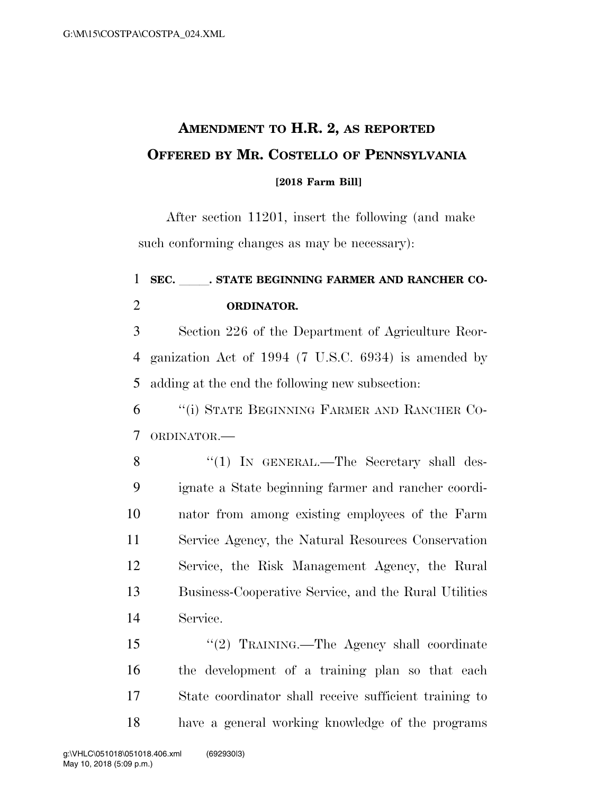## **AMENDMENT TO H.R. 2, AS REPORTED OFFERED BY MR. COSTELLO OF PENNSYLVANIA [2018 Farm Bill]**

After section 11201, insert the following (and make such conforming changes as may be necessary):

## 1 SEC. STATE BEGINNING FARMER AND RANCHER CO-**ORDINATOR.**

 Section 226 of the Department of Agriculture Reor- ganization Act of 1994 (7 U.S.C. 6934) is amended by adding at the end the following new subsection:

 ''(i) STATE BEGINNING FARMER AND RANCHER CO-ORDINATOR.—

8 "(1) IN GENERAL.—The Secretary shall des- ignate a State beginning farmer and rancher coordi- nator from among existing employees of the Farm Service Agency, the Natural Resources Conservation Service, the Risk Management Agency, the Rural Business-Cooperative Service, and the Rural Utilities Service.

 ''(2) TRAINING.—The Agency shall coordinate the development of a training plan so that each State coordinator shall receive sufficient training to have a general working knowledge of the programs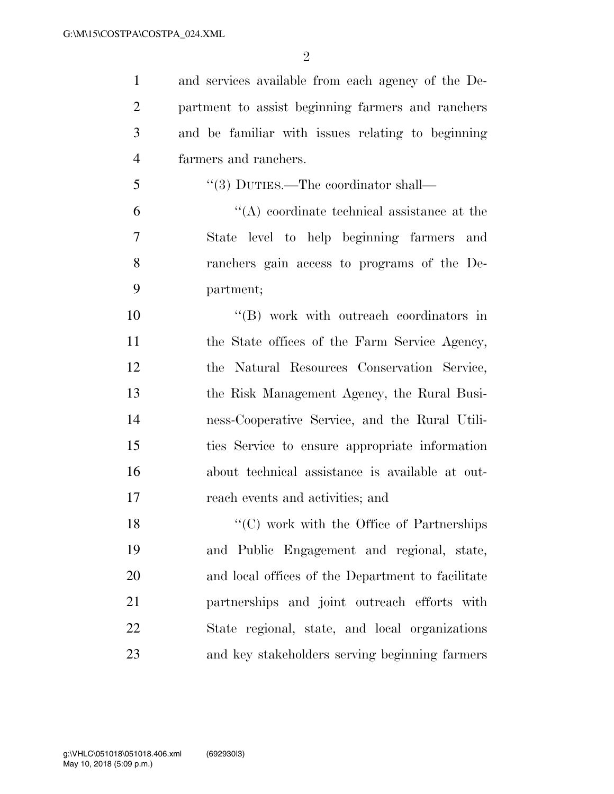$\mathfrak{D}$ 

 and services available from each agency of the De- partment to assist beginning farmers and ranchers and be familiar with issues relating to beginning farmers and ranchers. 5 "(3) DUTIES.—The coordinator shall—

 $(4)$  coordinate technical assistance at the State level to help beginning farmers and ranchers gain access to programs of the De-partment;

 ''(B) work with outreach coordinators in 11 the State offices of the Farm Service Agency, the Natural Resources Conservation Service, the Risk Management Agency, the Rural Busi- ness-Cooperative Service, and the Rural Utili- ties Service to ensure appropriate information about technical assistance is available at out-reach events and activities; and

18 "'(C) work with the Office of Partnerships and Public Engagement and regional, state, and local offices of the Department to facilitate partnerships and joint outreach efforts with State regional, state, and local organizations and key stakeholders serving beginning farmers